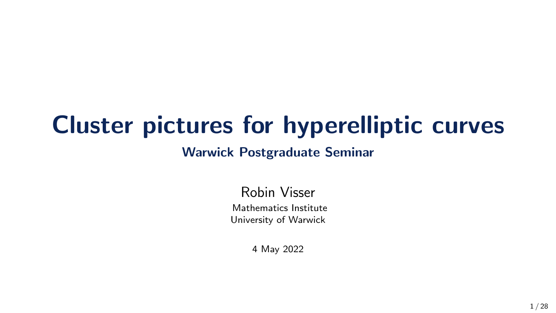# Cluster pictures for hyperelliptic curves

#### Warwick Postgraduate Seminar

Robin Visser Mathematics Institute University of Warwick

4 May 2022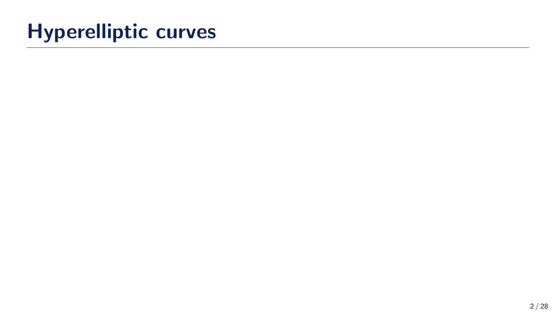# Hyperelliptic curves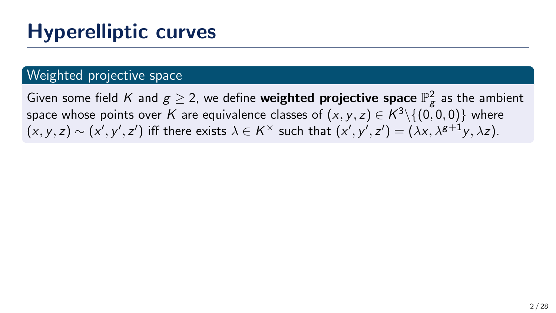#### Weighted projective space

Given some field  $K$  and  $g\geq 2$ , we define **weighted projective space**  $\mathbb{P}_{g}^{2}$  as the ambient space whose points over  $K$  are equivalence classes of  $(x,y,z)\in K^3\backslash\{(0,0,0)\}$  where  $(x, y, z) \sim (x', y', z')$  iff there exists  $\lambda \in K^\times$  such that  $(x', y', z') = (\lambda x, \lambda^{g+1} y, \lambda z)$ .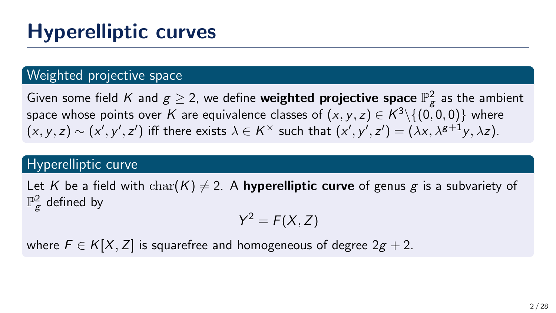#### Weighted projective space

Given some field  $K$  and  $g\geq 2$ , we define **weighted projective space**  $\mathbb{P}_{g}^{2}$  as the ambient space whose points over  $K$  are equivalence classes of  $(x,y,z)\in K^3\backslash\{(0,0,0)\}$  where  $(x, y, z) \sim (x', y', z')$  iff there exists  $\lambda \in K^\times$  such that  $(x', y', z') = (\lambda x, \lambda^{g+1} y, \lambda z)$ .

#### Hyperelliptic curve

Let K be a field with  $char(K) \neq 2$ . A **hyperelliptic curve** of genus g is a subvariety of  $\mathbb{P}_{\mathcal{g}}^2$  defined by

$$
Y^2 = F(X,Z)
$$

where  $F \in K[X, Z]$  is squarefree and homogeneous of degree  $2g + 2$ .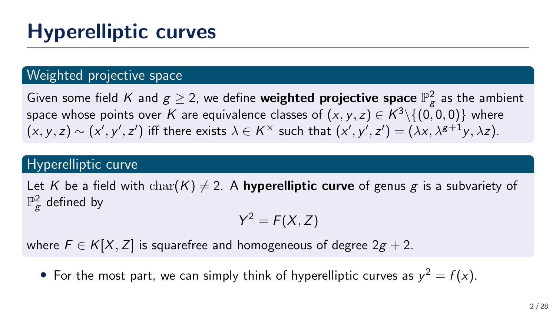#### Weighted projective space

Given some field  $K$  and  $g\geq 2$ , we define **weighted projective space**  $\mathbb{P}_{g}^{2}$  as the ambient space whose points over  $K$  are equivalence classes of  $(x,y,z)\in K^3\backslash\{(0,0,0)\}$  where  $(x, y, z) \sim (x', y', z')$  iff there exists  $\lambda \in K^\times$  such that  $(x', y', z') = (\lambda x, \lambda^{g+1} y, \lambda z)$ .

#### Hyperelliptic curve

Let K be a field with  $char(K) \neq 2$ . A **hyperelliptic curve** of genus g is a subvariety of  $\mathbb{P}_{\mathcal{g}}^2$  defined by

$$
Y^2 = F(X,Z)
$$

where  $F \in K[X, Z]$  is squarefree and homogeneous of degree  $2g + 2$ .

• For the most part, we can simply think of hyperelliptic curves as  $y^2 = f(x)$ .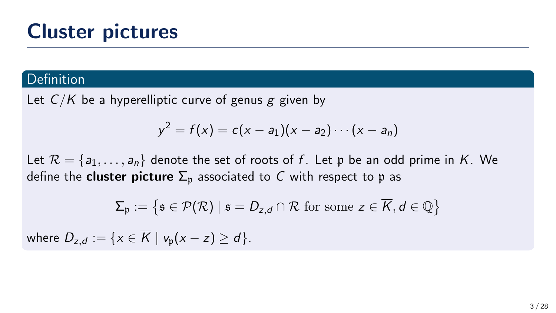#### Definition

Let  $C/K$  be a hyperelliptic curve of genus g given by

$$
y^{2} = f(x) = c(x - a_{1})(x - a_{2}) \cdots (x - a_{n})
$$

Let  $\mathcal{R} = \{a_1, \ldots, a_n\}$  denote the set of roots of f. Let p be an odd prime in K. We define the **cluster picture**  $\Sigma_n$  associated to C with respect to p as

$$
\Sigma_{\mathfrak{p}} := \left\{ \mathfrak{s} \in \mathcal{P}(\mathcal{R}) \mid \mathfrak{s} = D_{z,d} \cap \mathcal{R} \text{ for some } z \in \overline{K}, d \in \mathbb{Q} \right\}
$$

where  $D_{z,d} := \{x \in \overline{K} \mid v_p(x-z) > d\}.$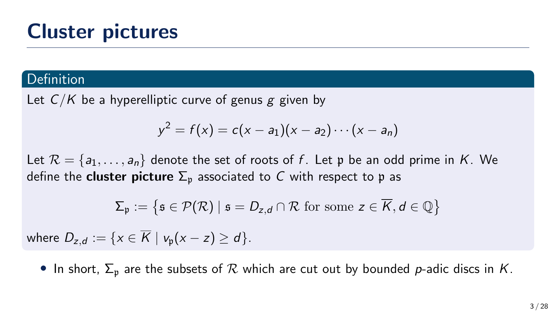#### Definition

Let  $C/K$  be a hyperelliptic curve of genus g given by

$$
y^{2} = f(x) = c(x - a_{1})(x - a_{2}) \cdots (x - a_{n})
$$

Let  $\mathcal{R} = \{a_1, \ldots, a_n\}$  denote the set of roots of f. Let p be an odd prime in K. We define the **cluster picture**  $\Sigma_n$  associated to C with respect to p as

$$
\Sigma_{\mathfrak{p}} := \left\{ \mathfrak{s} \in \mathcal{P}(\mathcal{R}) \mid \mathfrak{s} = D_{z,d} \cap \mathcal{R} \text{ for some } z \in \overline{K}, d \in \mathbb{Q} \right\}
$$

where  $D_{z,d} := \{x \in \overline{K} \mid v_p(x-z) > d\}.$ 

• In short,  $\Sigma_p$  are the subsets of  $R$  which are cut out by bounded p-adic discs in K.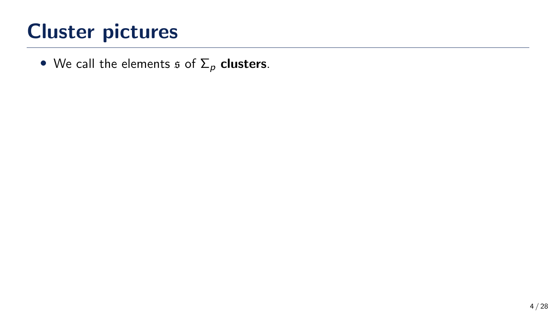• We call the elements  $\mathfrak s$  of  $\Sigma_p$  clusters.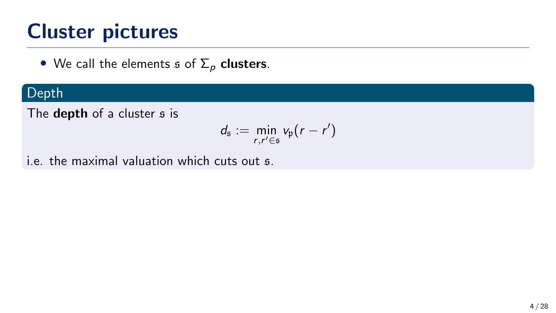• We call the elements  $\mathfrak s$  of  $\Sigma_p$  clusters.

### Depth

The depth of a cluster  $s$  is

$$
d_{\mathfrak{s}} := \min_{r,r' \in \mathfrak{s}} v_{\mathfrak{p}}(r-r')
$$

i.e. the maximal valuation which cuts out s.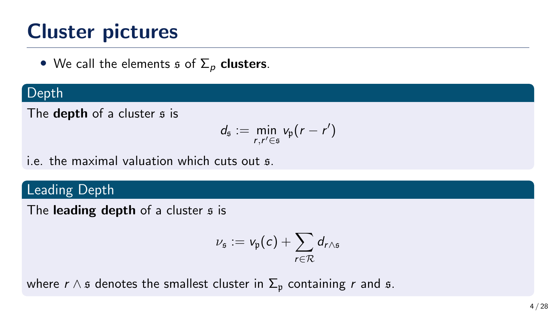• We call the elements  $\mathfrak s$  of  $\Sigma_p$  clusters.

#### Depth

The **depth** of a cluster  $s$  is

$$
d_{\mathfrak{s}} := \min_{r,r' \in \mathfrak{s}} v_{\mathfrak{p}}(r-r')
$$

i.e. the maximal valuation which cuts out s.

## Leading Depth

The leading depth of a cluster  $s$  is

$$
\nu_{\mathfrak{s}}:=\nu_{\mathfrak{p}}(c)+\sum_{r\in\mathcal{R}}d_{r\wedge\mathfrak{s}}
$$

where  $r \wedge s$  denotes the smallest cluster in  $\Sigma_p$  containing r and s.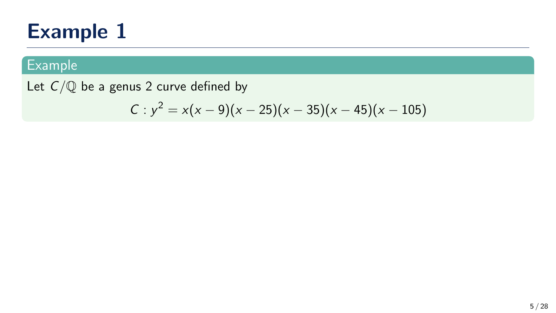## Example

Let  $C/\mathbb{Q}$  be a genus 2 curve defined by

$$
C: y^2 = x(x-9)(x-25)(x-35)(x-45)(x-105)
$$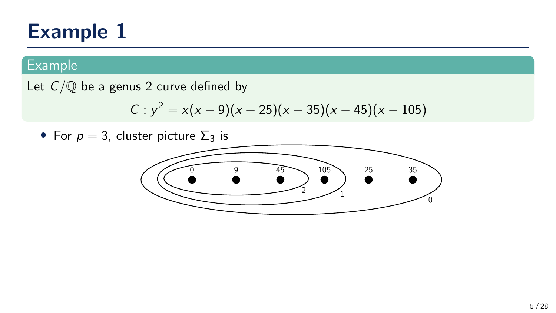### Example

Let  $C/\mathbb{Q}$  be a genus 2 curve defined by

$$
C: y^2 = x(x-9)(x-25)(x-35)(x-45)(x-105)
$$

• For  $p = 3$ , cluster picture  $\Sigma_3$  is

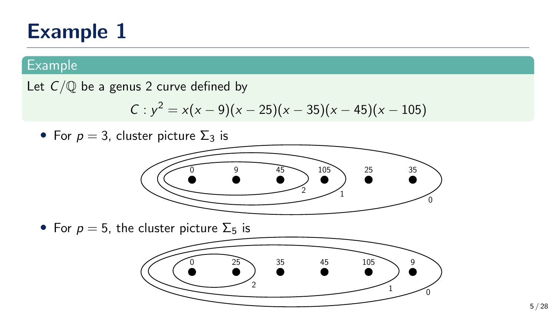### Example

Let  $C/\mathbb{Q}$  be a genus 2 curve defined by

$$
C: y^2 = x(x-9)(x-25)(x-35)(x-45)(x-105)
$$

• For  $p = 3$ , cluster picture  $\Sigma_3$  is



• For  $p = 5$ , the cluster picture  $\Sigma_5$  is

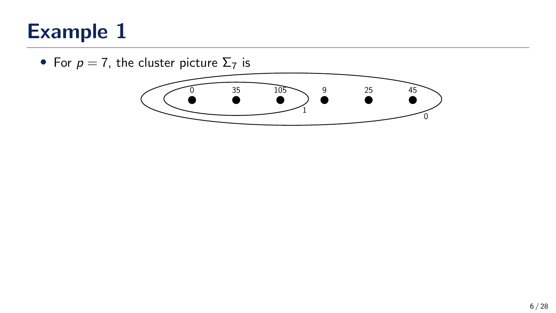• For  $p = 7$ , the cluster picture  $\Sigma_7$  is

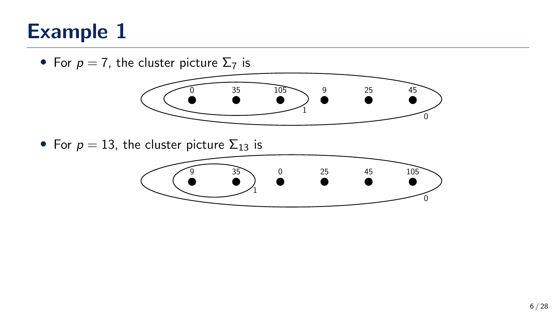• For  $p = 7$ , the cluster picture  $\Sigma_7$  is



• For  $p = 13$ , the cluster picture  $\Sigma_{13}$  is

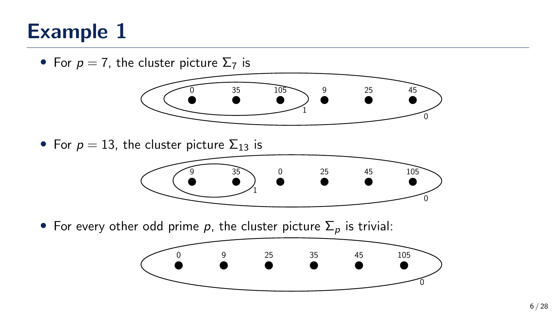• For  $p = 7$ , the cluster picture  $\Sigma_7$  is



• For  $p = 13$ , the cluster picture  $\Sigma_{13}$  is



• For every other odd prime p, the cluster picture  $\Sigma_p$  is trivial:

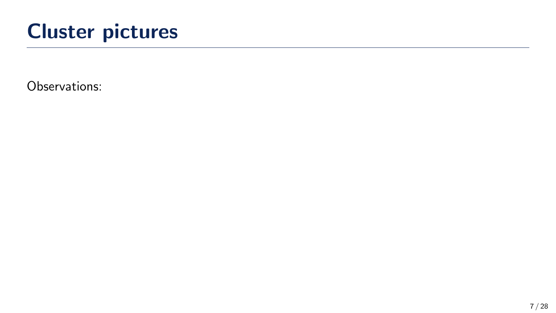Observations: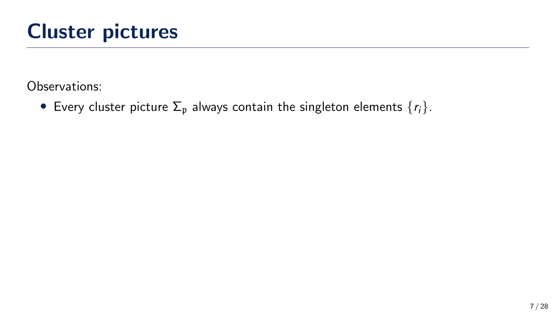• Every cluster picture  $\Sigma_p$  always contain the singleton elements  $\{r_i\}$ .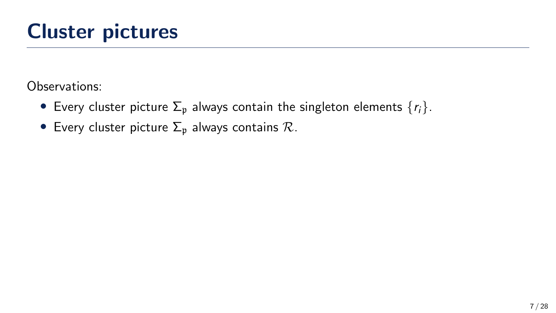- Every cluster picture  $\Sigma_p$  always contain the singleton elements  $\{r_i\}$ .
- Every cluster picture  $\Sigma_p$  always contains  $\mathcal{R}$ .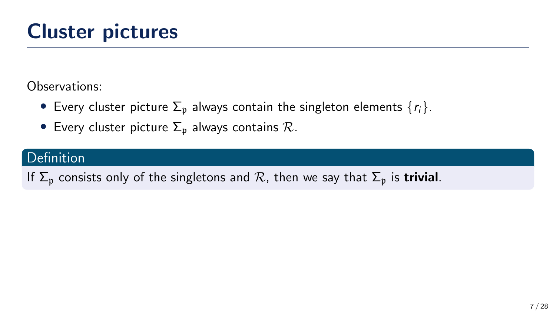- Every cluster picture  $\Sigma_p$  always contain the singleton elements  $\{r_i\}$ .
- Every cluster picture  $\Sigma_p$  always contains  $\mathcal{R}$ .

## **Definition**

If  $\Sigma_p$  consists only of the singletons and R, then we say that  $\Sigma_p$  is **trivial**.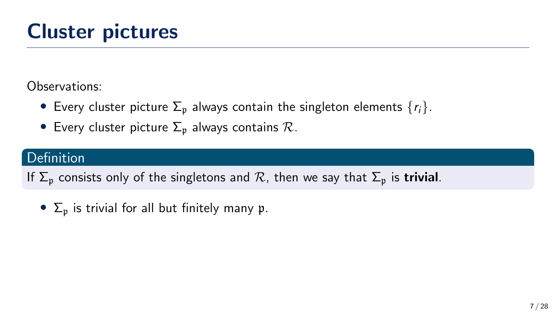- Every cluster picture  $\Sigma_p$  always contain the singleton elements  $\{r_i\}$ .
- Every cluster picture  $\Sigma_p$  always contains  $\mathcal{R}$ .

## **Definition**

If  $\Sigma_n$  consists only of the singletons and R, then we say that  $\Sigma_n$  is **trivial**.

•  $\Sigma_n$  is trivial for all but finitely many p.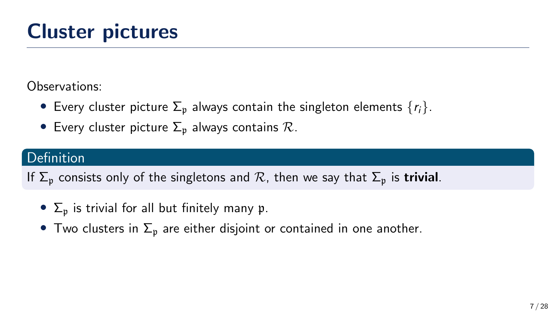- Every cluster picture  $\Sigma_p$  always contain the singleton elements  $\{r_i\}$ .
- Every cluster picture  $\Sigma_p$  always contains  $\mathcal{R}$ .

## **Definition**

If  $\Sigma_n$  consists only of the singletons and R, then we say that  $\Sigma_n$  is **trivial**.

- $\Sigma_n$  is trivial for all but finitely many p.
- Two clusters in  $\Sigma_p$  are either disjoint or contained in one another.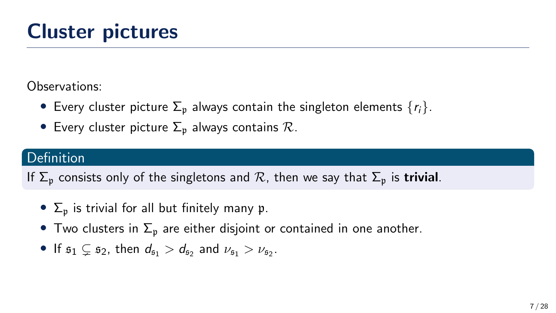- Every cluster picture  $\Sigma_p$  always contain the singleton elements  $\{r_i\}$ .
- Every cluster picture  $\Sigma_p$  always contains  $\mathcal{R}$ .

## Definition

If  $\Sigma_n$  consists only of the singletons and  $\mathcal R$ , then we say that  $\Sigma_p$  is **trivial**.

- $\Sigma_n$  is trivial for all but finitely many p.
- Two clusters in  $\Sigma_p$  are either disjoint or contained in one another.
- If  $s_1 \subsetneq s_2$ , then  $d_{s_1} > d_{s_2}$  and  $\nu_{s_1} > \nu_{s_2}$ .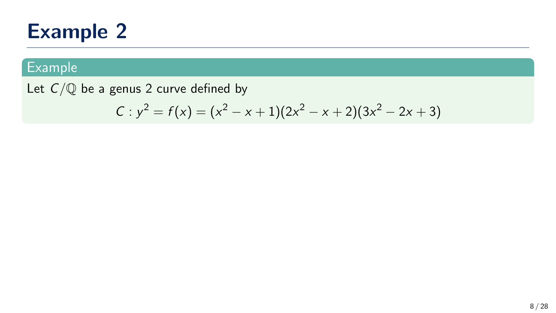## **Example**

Let  $C/\mathbb{Q}$  be a genus 2 curve defined by

$$
C: y^2 = f(x) = (x^2 - x + 1)(2x^2 - x + 2)(3x^2 - 2x + 3)
$$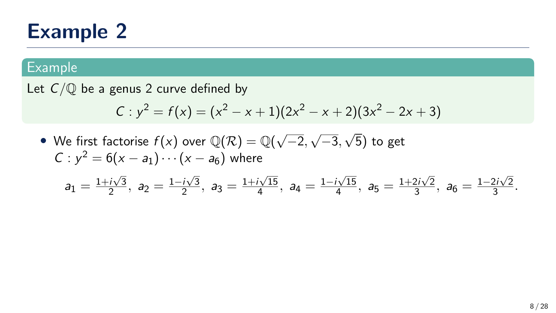#### Example

Let  $C/\mathbb{Q}$  be a genus 2 curve defined by

$$
C: y^2 = f(x) = (x^2 - x + 1)(2x^2 - x + 2)(3x^2 - 2x + 3)
$$

 $\bullet\,$  We first factorise  $f(x)$  over  $\mathbb{Q}(\mathcal{R})=\mathbb{Q}(\sqrt{2})$ −2, √ −3, √ 5) to get  $C: y^2 = 6(x - a_1) \cdots (x - a_6)$  where √ √ √ √ √

$$
a_1=\frac{1+i\sqrt{3}}{2},\ a_2=\frac{1-i\sqrt{3}}{2},\ a_3=\frac{1+i\sqrt{15}}{4},\ a_4=\frac{1-i\sqrt{15}}{4},\ a_5=\frac{1+2i\sqrt{2}}{3},\ a_6=\frac{1-2i\sqrt{2}}{3}.
$$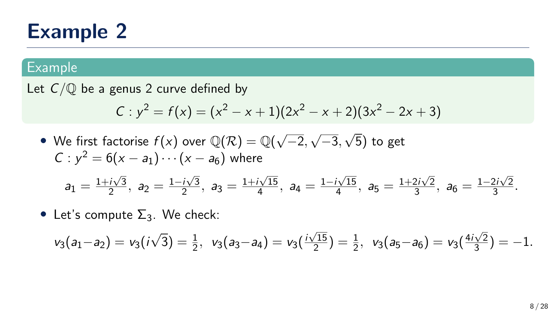#### Example

Let  $C/\mathbb{O}$  be a genus 2 curve defined by

$$
C: y^2 = f(x) = (x^2 - x + 1)(2x^2 - x + 2)(3x^2 - 2x + 3)
$$

- $\bullet\,$  We first factorise  $f(x)$  over  $\mathbb{Q}(\mathcal{R})=\mathbb{Q}(\sqrt{2})$ −2, √ −3, √ 5) to get  $C: y^2 = 6(x - a_1) \cdots (x - a_6)$  where  $a_1 = \frac{1+i\sqrt{3}}{2}$  $\frac{i\sqrt{3}}{2}$ ,  $a_2 = \frac{1-i\sqrt{3}}{2}$  $\frac{i\sqrt{3}}{2}$ ,  $a_3 = \frac{1+i\sqrt{15}}{4}$  $\frac{i\sqrt{15}}{4}$ ,  $a_4 = \frac{1-i\sqrt{15}}{4}$  $\frac{i\sqrt{15}}{4}$ ,  $a_5 = \frac{1+2i\sqrt{2}}{3}$  $\frac{2i\sqrt{2}}{3}$ ,  $a_6 = \frac{1-2i\sqrt{2}}{3}$  $\frac{21\sqrt{2}}{3}$ .
- Let's compute  $\Sigma_3$ . We check:

$$
v_3(a_1-a_2)=v_3(i\sqrt{3})=\tfrac{1}{2}, v_3(a_3-a_4)=v_3(\tfrac{i\sqrt{15}}{2})=\tfrac{1}{2}, v_3(a_5-a_6)=v_3(\tfrac{4i\sqrt{2}}{3})=-1.
$$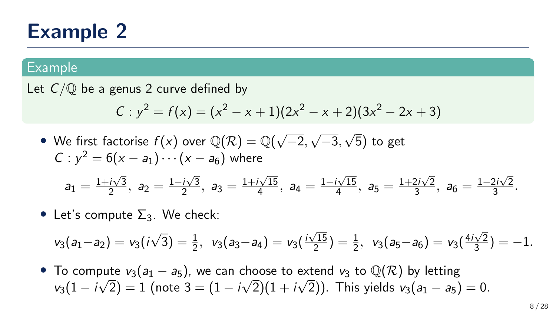#### Example

Let  $C/O$  be a genus 2 curve defined by

$$
C: y^2 = f(x) = (x^2 - x + 1)(2x^2 - x + 2)(3x^2 - 2x + 3)
$$

- $\bullet\,$  We first factorise  $f(x)$  over  $\mathbb{Q}(\mathcal{R})=\mathbb{Q}(\sqrt{2})$ −2, √ −3, √ 5) to get  $C: y^2 = 6(x - a_1) \cdots (x - a_6)$  where  $a_1 = \frac{1+i\sqrt{3}}{2}$  $\frac{i\sqrt{3}}{2}$ ,  $a_2 = \frac{1-i\sqrt{3}}{2}$  $\frac{i\sqrt{3}}{2}$ ,  $a_3 = \frac{1+i\sqrt{15}}{4}$  $\frac{i\sqrt{15}}{4}$ ,  $a_4 = \frac{1-i\sqrt{15}}{4}$  $\frac{i\sqrt{15}}{4}$ ,  $a_5 = \frac{1+2i\sqrt{2}}{3}$  $\frac{2i\sqrt{2}}{3}$ ,  $a_6 = \frac{1-2i\sqrt{2}}{3}$  $\frac{21\sqrt{2}}{3}$ .
- Let's compute  $\Sigma_3$ . We check:

$$
v_3(a_1-a_2)=v_3(i\sqrt{3})=\tfrac{1}{2}, v_3(a_3-a_4)=v_3(\tfrac{i\sqrt{15}}{2})=\tfrac{1}{2}, v_3(a_5-a_6)=v_3(\tfrac{4i\sqrt{2}}{3})=-1.
$$

• To compute  $v_3(a_1 - a_5)$ , we can choose to extend  $v_3$  to  $\mathbb{Q}(\mathcal{R})$  by letting  $\nu_3(1-i\surd 2)=1$  (note  $3=(1-i\surd 2)(1+i\surd 2)).$  This yields  $\nu_3(a_1-a_5)=0.$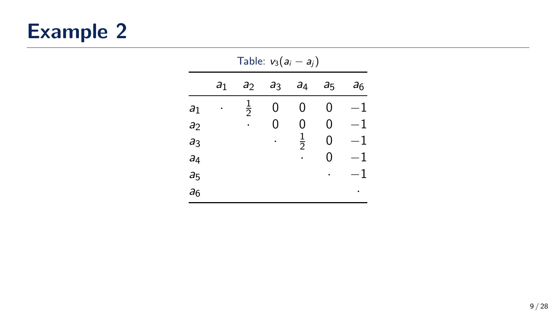|                | Table: $v_3(a_i - a_j)$ |                |                |                |                |       |  |  |  |  |
|----------------|-------------------------|----------------|----------------|----------------|----------------|-------|--|--|--|--|
|                | a <sub>1</sub>          | a <sub>2</sub> | a <sub>3</sub> | a <sub>4</sub> | a <sub>5</sub> | $a_6$ |  |  |  |  |
| a <sub>1</sub> |                         | $\frac{1}{2}$  | 0              | 0              | 0              | 1     |  |  |  |  |
| a <sub>2</sub> |                         |                | 0              | 0              | 0              | 1     |  |  |  |  |
| a <sub>3</sub> |                         |                |                | $\frac{1}{2}$  | 0              | 1     |  |  |  |  |
| a <sub>4</sub> |                         |                |                |                | 0              | 1     |  |  |  |  |
| a <sub>5</sub> |                         |                |                |                |                | 1     |  |  |  |  |
| a <sub>6</sub> |                         |                |                |                |                |       |  |  |  |  |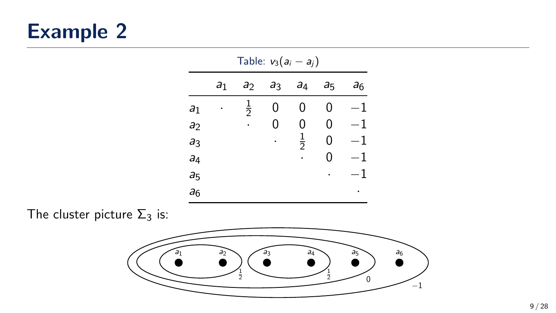|                | Table: $v_3(a_i - a_i)$ |                |                |                |                |                |  |  |  |  |
|----------------|-------------------------|----------------|----------------|----------------|----------------|----------------|--|--|--|--|
|                | a <sub>1</sub>          | a <sub>2</sub> | a <sub>3</sub> | a <sub>4</sub> | a <sub>5</sub> | a <sub>6</sub> |  |  |  |  |
| a <sub>1</sub> |                         | $\frac{1}{2}$  | 0              | 0              | 0              | 1              |  |  |  |  |
| a <sub>2</sub> |                         |                | 0              | 0              | 0              | $-1$           |  |  |  |  |
| a <sub>3</sub> |                         |                |                | $\frac{1}{2}$  | 0              | $-1$           |  |  |  |  |
| a <sub>4</sub> |                         |                |                |                | 0              | $-1$           |  |  |  |  |
| a <sub>5</sub> |                         |                |                |                |                | 1              |  |  |  |  |
| a <sub>6</sub> |                         |                |                |                |                |                |  |  |  |  |
|                |                         |                |                |                |                |                |  |  |  |  |

The cluster picture  $\Sigma_3$  is:

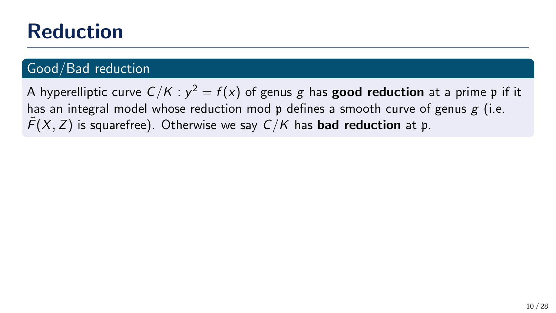# Reduction

### Good/Bad reduction

A hyperelliptic curve  $\mathcal{C}/\mathcal{K}$  :  $y^2=f(x)$  of genus  $g$  has  $\mathbf{good}\,$  reduction at a prime  $\mathfrak p$  if it has an integral model whose reduction mod  $\mathfrak p$  defines a smooth curve of genus g (i.e.  $\widetilde{F}(X, Z)$  is squarefree). Otherwise we say  $C/K$  has **bad reduction** at p.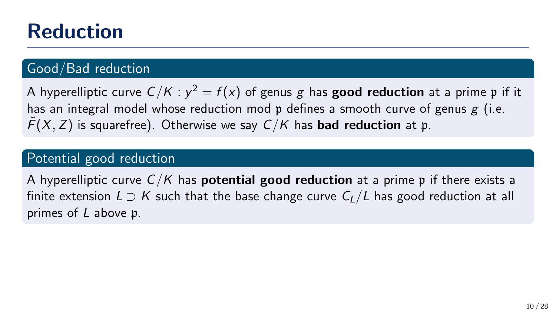# Reduction

## Good/Bad reduction

A hyperelliptic curve  $\mathcal{C}/\mathcal{K}$  :  $y^2=f(x)$  of genus  $g$  has  $\mathbf{good}\,$  reduction at a prime  $\mathfrak p$  if it has an integral model whose reduction mod  $\mathfrak p$  defines a smooth curve of genus g (i.e.  $\tilde{F}(X, Z)$  is squarefree). Otherwise we say  $C/K$  has **bad reduction** at p.

#### Potential good reduction

A hyperelliptic curve  $C/K$  has **potential good reduction** at a prime p if there exists a finite extension  $L \supset K$  such that the base change curve  $C_L/L$  has good reduction at all primes of L above p.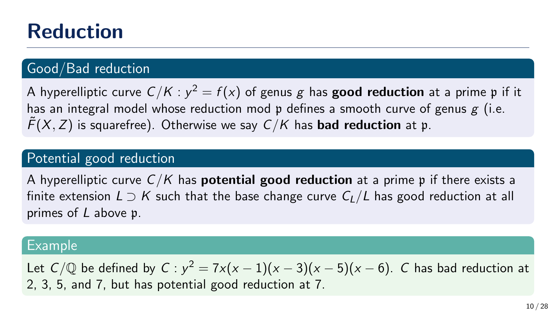# Reduction

### Good/Bad reduction

A hyperelliptic curve  $\mathcal{C}/\mathcal{K}$  :  $y^2=f(x)$  of genus  $g$  has  $\mathbf{good}\,$  reduction at a prime  $\mathfrak p$  if it has an integral model whose reduction mod  $\mathfrak p$  defines a smooth curve of genus g (i.e.  $\tilde{F}(X, Z)$  is squarefree). Otherwise we say  $C/K$  has **bad reduction** at p.

#### Potential good reduction

A hyperelliptic curve  $C/K$  has **potential good reduction** at a prime p if there exists a finite extension  $L \supset K$  such that the base change curve  $C_L/L$  has good reduction at all primes of L above p.

#### Example

Let  $C/\mathbb{Q}$  be defined by  $C : y^2 = 7x(x-1)(x-3)(x-5)(x-6)$ . C has bad reduction at 2, 3, 5, and 7, but has potential good reduction at 7.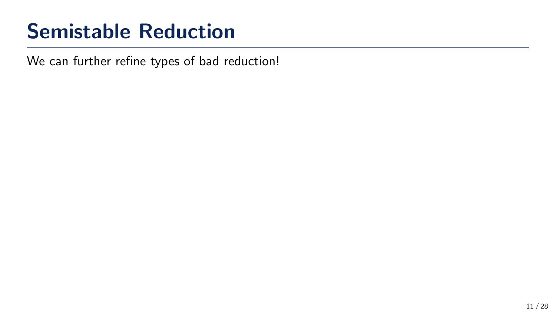# Semistable Reduction

We can further refine types of bad reduction!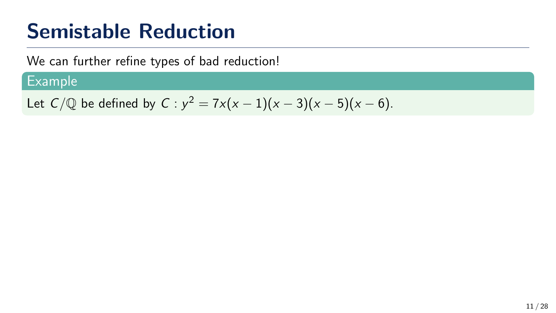# Semistable Reduction

We can further refine types of bad reduction!

### **Example**

Let  $C/\mathbb{Q}$  be defined by  $C : y^2 = 7x(x-1)(x-3)(x-5)(x-6)$ .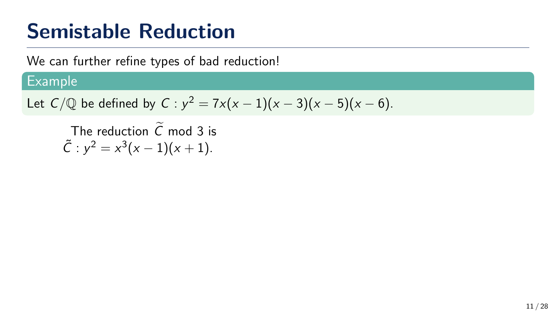# Semistable Reduction

We can further refine types of bad reduction!

## Example

Let 
$$
C/\mathbb{Q}
$$
 be defined by  $C : y^2 = 7x(x-1)(x-3)(x-5)(x-6)$ .

The reduction  $\tilde{C}$  mod 3 is  $\tilde{C}: y^2 = x^3(x-1)(x+1).$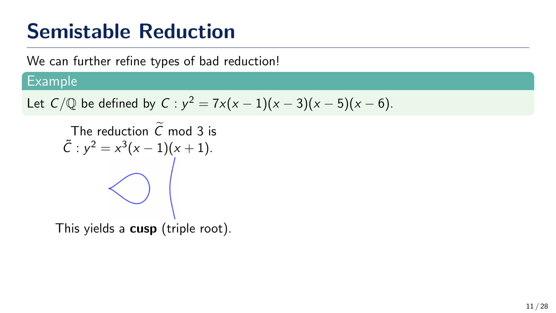We can further refine types of bad reduction!

#### Example

Let 
$$
C/\mathbb{Q}
$$
 be defined by  $C : y^2 = 7x(x-1)(x-3)(x-5)(x-6)$ .

The reduction  $C$  mod 3 is  $\tilde{C}: y^2 = x^3(x-1)(x+1).$ 

This yields a cusp (triple root).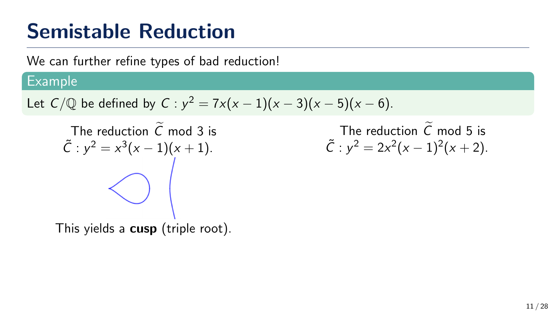We can further refine types of bad reduction!

#### Example

Let 
$$
C/\mathbb{Q}
$$
 be defined by  $C : y^2 = 7x(x - 1)(x - 3)(x - 5)(x - 6)$ .

The reduction  $C$  mod 3 is  $\tilde{C}: y^2 = x^3(x-1)(x+1).$ 

The reduction  $\tilde{C}$  mod 5 is  $\tilde{C}: y^2 = 2x^2(x-1)^2(x+2).$ 

This yields a cusp (triple root).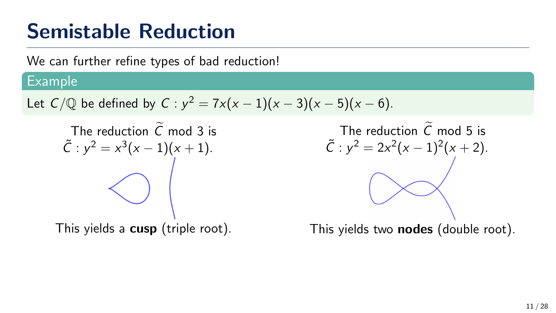We can further refine types of bad reduction!

#### Example

Let 
$$
C/\mathbb{Q}
$$
 be defined by  $C : y^2 = 7x(x-1)(x-3)(x-5)(x-6)$ .

The reduction  $C$  mod 3 is  $\tilde{C}: y^2 = x^3(x-1)(x+1).$ 

This yields a cusp (triple root).

The reduction  $\tilde{C}$  mod 5 is  $\tilde{C}: y^2 = 2x^2(x-1)^2(x+2).$ This yields two **nodes** (double root).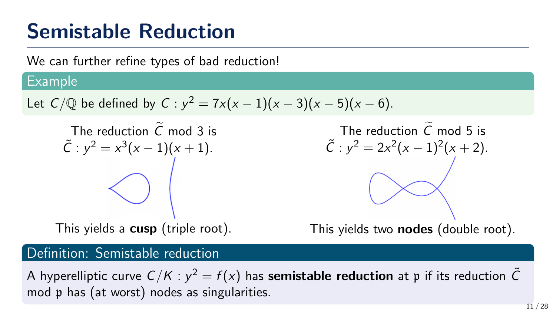We can further refine types of bad reduction!

#### Example

Let 
$$
C/\mathbb{Q}
$$
 be defined by  $C : y^2 = 7x(x - 1)(x - 3)(x - 5)(x - 6)$ .

The reduction  $C$  mod 3 is  $\tilde{C}: y^2 = x^3(x-1)(x+1).$ 

This yields a cusp (triple root).

The reduction C mod 5 is  
\n
$$
\tilde{C}: y^2 = 2x^2(x-1)^2(x+2).
$$

This yields two **nodes** (double root).

#### Definition: Semistable reduction

A hyperelliptic curve  $C/K$  :  $y^2=f(x)$  has **semistable reduction** at  $\mathfrak p$  if its reduction  $\tilde C$ mod p has (at worst) nodes as singularities.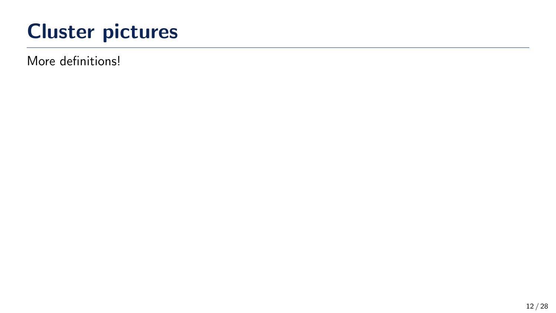More definitions!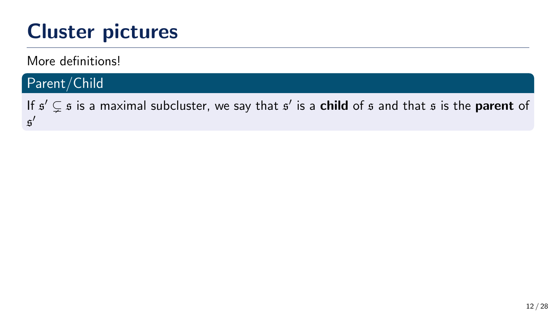More definitions!

### Parent/Child

If  $\mathfrak{s}'\subsetneq\mathfrak{s}$  is a maximal subcluster, we say that  $\mathfrak{s}'$  is a **child** of  $\mathfrak{s}$  and that  $\mathfrak{s}$  is the **parent** of s ′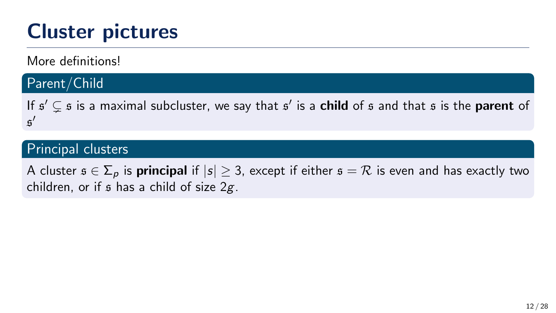More definitions!

#### Parent/Child

If  $\mathfrak{s}'\subsetneq\mathfrak{s}$  is a maximal subcluster, we say that  $\mathfrak{s}'$  is a **child** of  $\mathfrak{s}$  and that  $\mathfrak{s}$  is the **parent** of s ′

#### Principal clusters

A cluster  $\mathfrak{s} \in \Sigma_p$  is **principal** if  $|s| \geq 3$ , except if either  $\mathfrak{s} = \mathcal{R}$  is even and has exactly two children, or if  $\beta$  has a child of size  $2g$ .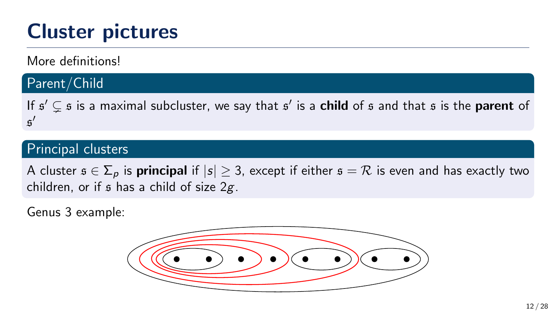More definitions!

#### Parent/Child

If  $\mathfrak{s}'\subsetneq\mathfrak{s}$  is a maximal subcluster, we say that  $\mathfrak{s}'$  is a **child** of  $\mathfrak{s}$  and that  $\mathfrak{s}$  is the **parent** of s ′

#### Principal clusters

A cluster  $\mathfrak{s} \in \Sigma_p$  is **principal** if  $|s| \geq 3$ , except if either  $\mathfrak{s} = \mathcal{R}$  is even and has exactly two children, or if  $\epsilon$  has a child of size  $2g$ .

Genus 3 example:

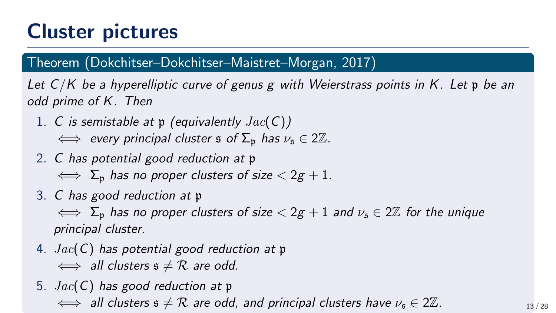#### Theorem (Dokchitser–Dokchitser–Maistret–Morgan, 2017)

Let  $C/K$  be a hyperelliptic curve of genus g with Weierstrass points in K. Let p be an odd prime of K. Then

1. C is semistable at  $p$  (equivalently  $Jac(C)$ )

 $\iff$  every principal cluster s of  $\Sigma_p$  has  $\nu_{\infty} \in 2\mathbb{Z}$ .

2. C has potential good reduction at p

 $\iff$   $\Sigma_p$  has no proper clusters of size  $\lt 2g + 1$ .

3. C has good reduction at p

 $\iff \Sigma_p$  has no proper clusters of size  $\lt 2g + 1$  and  $\nu_s \in 2\mathbb{Z}$  for the unique principal cluster.

- 4.  $Jac(C)$  has potential good reduction at p  $\iff$  all clusters  $\mathfrak{s} \neq \mathcal{R}$  are odd.
- 5.  $Jac(C)$  has good reduction at p  $\iff$  all clusters  $s \neq \mathcal{R}$  are odd, and principal clusters have  $\nu_s \in 2\mathbb{Z}$ .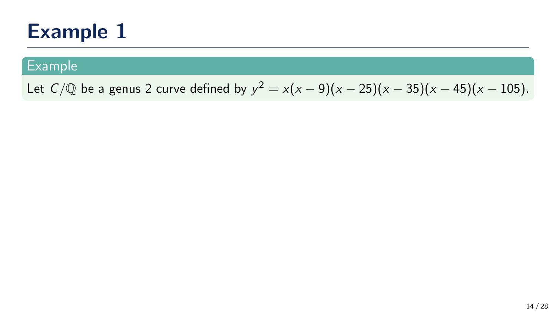#### Example

Let  $C/{\mathbb Q}$  be a genus 2 curve defined by  $y^2 = x(x-9)(x-25)(x-35)(x-45)(x-105)$ .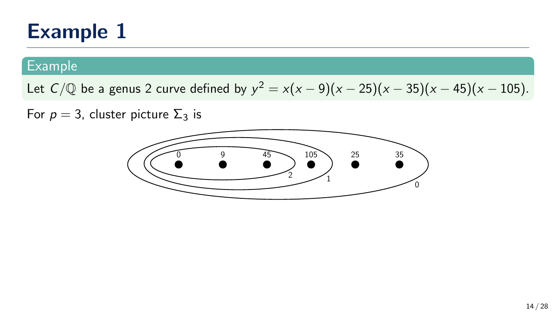#### Example

Let  $C/{\mathbb Q}$  be a genus 2 curve defined by  $y^2 = x(x-9)(x-25)(x-35)(x-45)(x-105)$ .

For  $p = 3$ , cluster picture  $\Sigma_3$  is

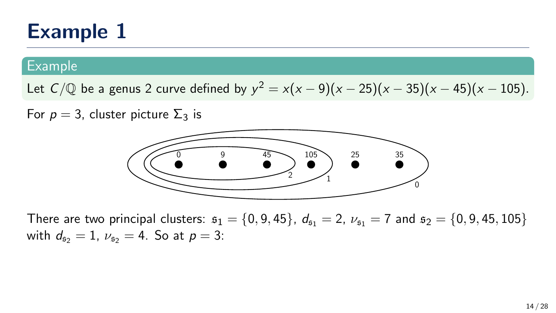#### Example

Let  $C/{\mathbb Q}$  be a genus 2 curve defined by  $y^2 = x(x-9)(x-25)(x-35)(x-45)(x-105)$ .

For  $p = 3$ , cluster picture  $\Sigma_3$  is



There are two principal clusters:  $s_1 = \{0, 9, 45\}$ ,  $d_{s_1} = 2$ ,  $\nu_{s_1} = 7$  and  $s_2 = \{0, 9, 45, 105\}$ with  $d_{52} = 1$ ,  $\nu_{52} = 4$ . So at  $p = 3$ :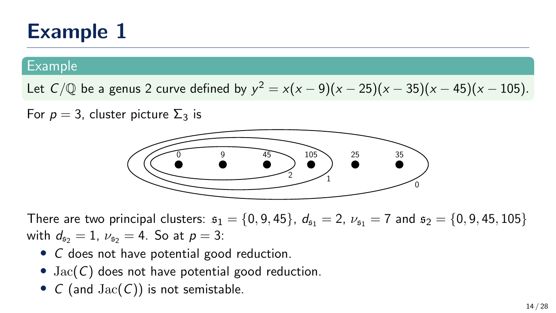#### Example

Let  $C/{\mathbb Q}$  be a genus 2 curve defined by  $y^2 = x(x-9)(x-25)(x-35)(x-45)(x-105)$ .

For  $p = 3$ , cluster picture  $\Sigma_3$  is



There are two principal clusters:  $s_1 = \{0, 9, 45\}$ ,  $d_{s_1} = 2$ ,  $\nu_{s_1} = 7$  and  $s_2 = \{0, 9, 45, 105\}$ with  $d_{52} = 1$ ,  $\nu_{52} = 4$ . So at  $p = 3$ :

- C does not have potential good reduction.
- $Jac(C)$  does not have potential good reduction.
- $C$  (and  $Jac(C)$ ) is not semistable.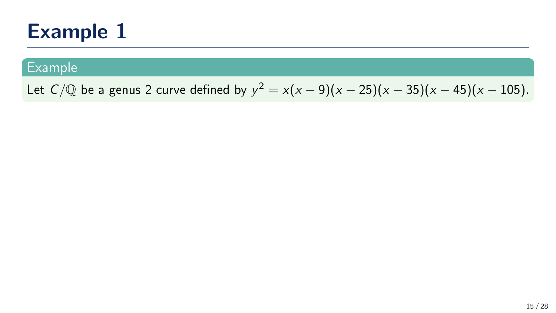#### Example

Let  $C/{\mathbb Q}$  be a genus 2 curve defined by  $y^2 = x(x-9)(x-25)(x-35)(x-45)(x-105)$ .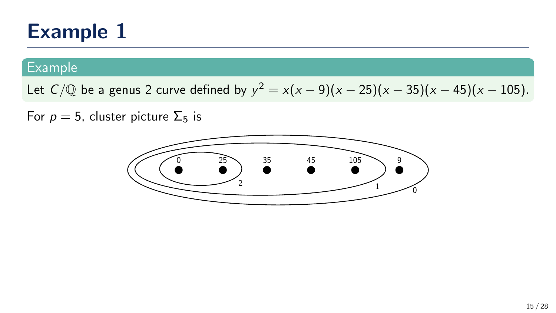#### Example

Let  $C/{\mathbb Q}$  be a genus 2 curve defined by  $y^2 = x(x-9)(x-25)(x-35)(x-45)(x-105)$ .

For  $p = 5$ , cluster picture  $\Sigma_5$  is

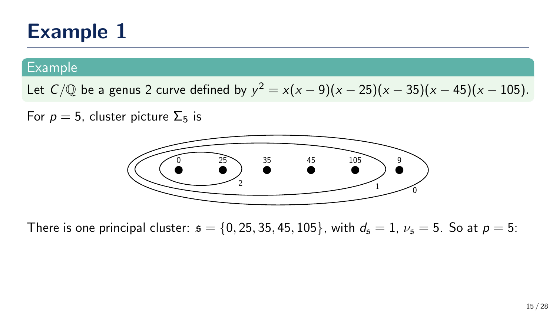#### Example

Let  $C/{\mathbb Q}$  be a genus 2 curve defined by  $y^2 = x(x-9)(x-25)(x-35)(x-45)(x-105)$ .

For  $p = 5$ , cluster picture  $\Sigma_5$  is



There is one principal cluster:  $s = \{0, 25, 35, 45, 105\}$ , with  $d_s = 1$ ,  $\nu_s = 5$ . So at  $p = 5$ :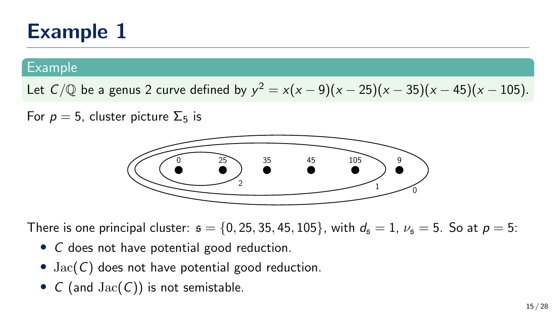#### Example

Let  $C/{\mathbb Q}$  be a genus 2 curve defined by  $y^2 = x(x-9)(x-25)(x-35)(x-45)(x-105)$ .

For  $p = 5$ , cluster picture  $\Sigma_5$  is



There is one principal cluster:  $s = \{0, 25, 35, 45, 105\}$ , with  $d_s = 1$ ,  $\nu_s = 5$ . So at  $p = 5$ :

- C does not have potential good reduction.
- $Jac(C)$  does not have potential good reduction.
- $C$  (and  $Jac(C)$ ) is not semistable.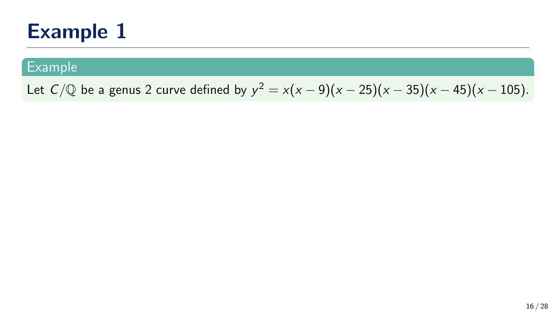#### Example

Let  $C/\mathbb{Q}$  be a genus 2 curve defined by  $y^2 = x(x-9)(x-25)(x-35)(x-45)(x-105)$ .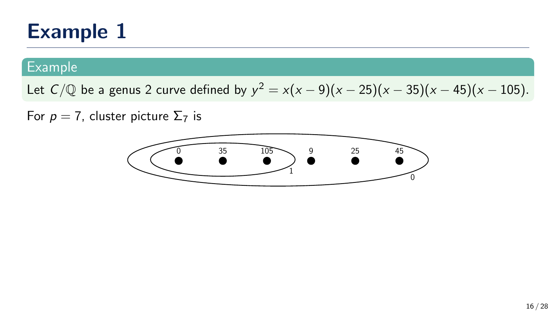#### **Example**

Let  $C/\mathbb{Q}$  be a genus 2 curve defined by  $y^2 = x(x-9)(x-25)(x-35)(x-45)(x-105)$ .

For  $p = 7$ , cluster picture  $\Sigma_7$  is

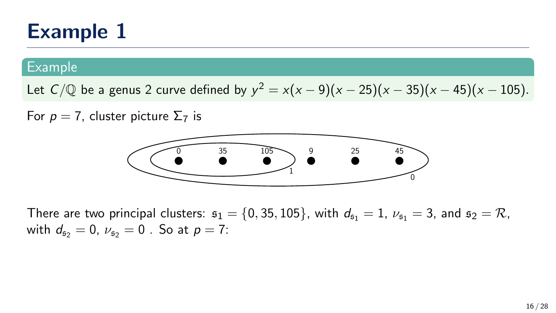#### Example

Let  $C/\mathbb{Q}$  be a genus 2 curve defined by  $y^2 = x(x-9)(x-25)(x-35)(x-45)(x-105)$ .

For  $p = 7$ , cluster picture  $\Sigma_7$  is



There are two principal clusters:  $s_1 = \{0, 35, 105\}$ , with  $d_{s_1} = 1$ ,  $\nu_{s_1} = 3$ , and  $s_2 = \mathcal{R}$ , with  $d_{52} = 0$ ,  $\nu_{52} = 0$ . So at  $p = 7$ :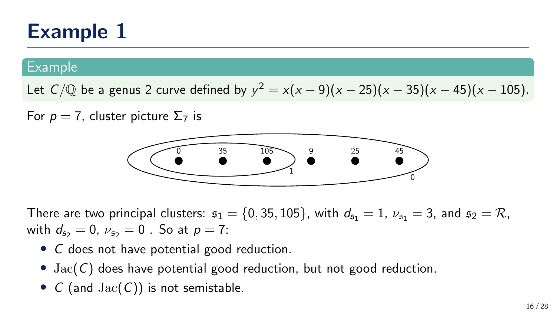#### Example

Let  $C/\mathbb{Q}$  be a genus 2 curve defined by  $y^2 = x(x-9)(x-25)(x-35)(x-45)(x-105)$ .

For  $p = 7$ , cluster picture  $\Sigma_7$  is



There are two principal clusters:  $s_1 = \{0, 35, 105\}$ , with  $d_{s_1} = 1$ ,  $\nu_{s_1} = 3$ , and  $s_2 = \mathcal{R}$ , with  $d_{52} = 0$ ,  $\nu_{52} = 0$ . So at  $p = 7$ :

- C does not have potential good reduction.
- $Jac(C)$  does have potential good reduction, but not good reduction.
- $C$  (and  $Jac(C)$ ) is not semistable.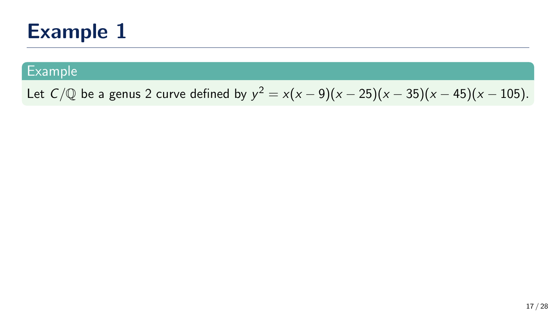#### Example

Let  $C/\mathbb{Q}$  be a genus 2 curve defined by  $y^2 = x(x-9)(x-25)(x-35)(x-45)(x-105)$ .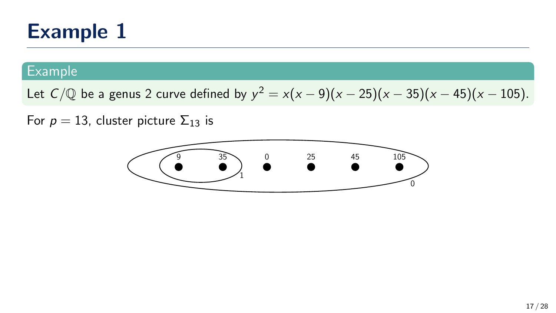#### Example

Let  $C/\mathbb{Q}$  be a genus 2 curve defined by  $y^2 = x(x-9)(x-25)(x-35)(x-45)(x-105)$ .

For  $p = 13$ , cluster picture  $\Sigma_{13}$  is

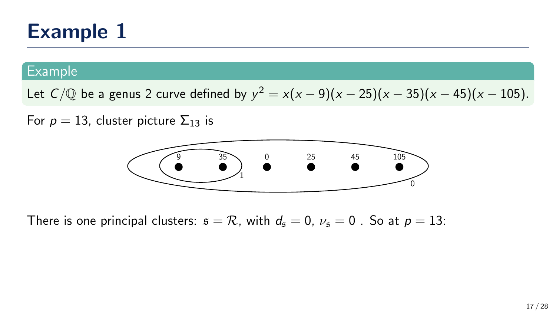#### Example

Let  $C/\mathbb{Q}$  be a genus 2 curve defined by  $y^2 = x(x-9)(x-25)(x-35)(x-45)(x-105)$ .

For  $p = 13$ , cluster picture  $\Sigma_{13}$  is



There is one principal clusters:  $s = \mathcal{R}$ , with  $d_s = 0$ ,  $\nu_s = 0$ . So at  $p = 13$ :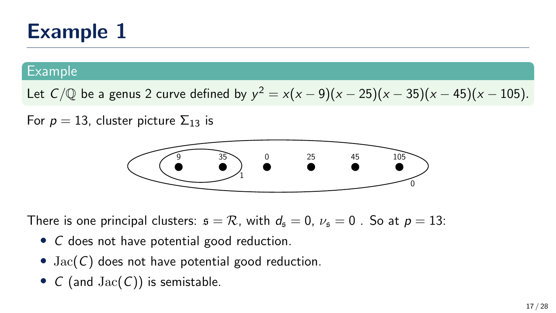#### Example

Let  $C/\mathbb{Q}$  be a genus 2 curve defined by  $y^2 = x(x-9)(x-25)(x-35)(x-45)(x-105)$ .

For  $p = 13$ , cluster picture  $\Sigma_{13}$  is



There is one principal clusters:  $s = \mathcal{R}$ , with  $d_s = 0$ ,  $\nu_s = 0$ . So at  $p = 13$ :

- C does not have potential good reduction.
- $Jac(C)$  does not have potential good reduction.
- $C$  (and  $Jac(C)$ ) is semistable.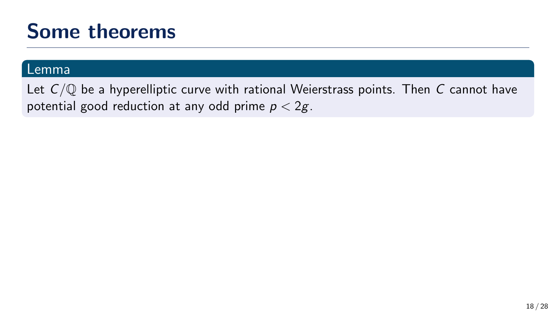#### Lemma

Let  $C/\mathbb{Q}$  be a hyperelliptic curve with rational Weierstrass points. Then C cannot have potential good reduction at any odd prime  $p < 2g$ .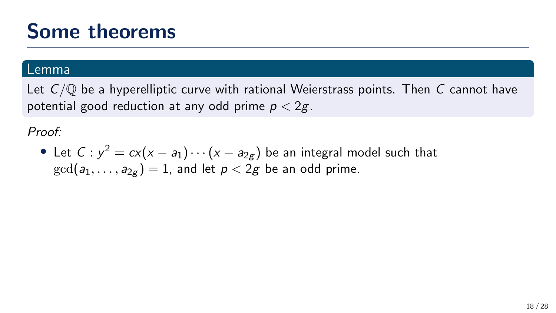#### Lemma

Let  $C/\mathbb{Q}$  be a hyperelliptic curve with rational Weierstrass points. Then C cannot have potential good reduction at any odd prime  $p < 2g$ .

Proof:

• Let  $C$  :  $y^2 = c x (x - a_1) \cdots (x - a_{2g})$  be an integral model such that  $gcd(a_1, \ldots, a_{2\sigma}) = 1$ , and let  $p < 2g$  be an odd prime.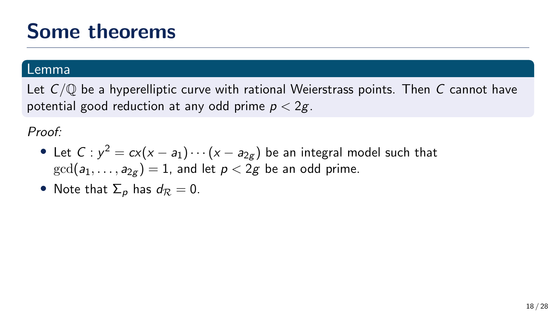#### Lemma

Let  $C/\mathbb{O}$  be a hyperelliptic curve with rational Weierstrass points. Then C cannot have potential good reduction at any odd prime  $p < 2g$ .

Proof:

- Let  $C$  :  $y^2 = c x (x a_1) \cdots (x a_{2g})$  be an integral model such that  $gcd(a_1, \ldots, a_{2\sigma}) = 1$ , and let  $p < 2g$  be an odd prime.
- Note that  $\Sigma_p$  has  $d_{\mathcal{R}} = 0$ .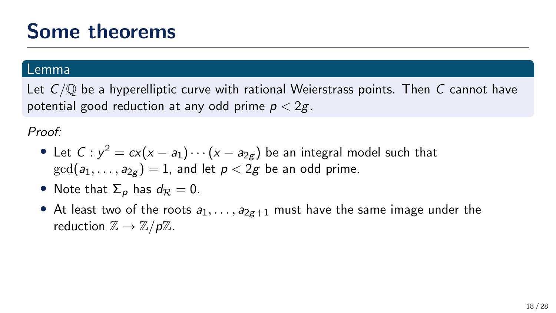#### Lemma

Let  $C/\mathbb{O}$  be a hyperelliptic curve with rational Weierstrass points. Then C cannot have potential good reduction at any odd prime  $p < 2g$ .

Proof:

- Let  $C$  :  $y^2 = c x (x a_1) \cdots (x a_{2g})$  be an integral model such that  $gcd(a_1, \ldots, a_{2g}) = 1$ , and let  $p < 2g$  be an odd prime.
- Note that  $\Sigma_p$  has  $d_{\mathcal{R}} = 0$ .
- At least two of the roots  $a_1, \ldots, a_{2g+1}$  must have the same image under the reduction  $\mathbb{Z} \to \mathbb{Z}/p\mathbb{Z}$ .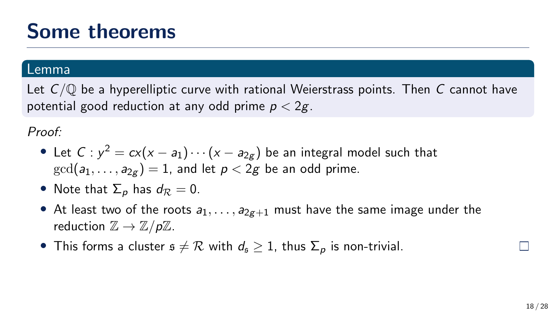#### Lemma

Let  $C/\mathbb{Q}$  be a hyperelliptic curve with rational Weierstrass points. Then C cannot have potential good reduction at any odd prime  $p < 2g$ .

Proof:

- Let  $C$  :  $y^2 = c x (x a_1) \cdots (x a_{2g})$  be an integral model such that  $gcd(a_1, \ldots, a_{2\sigma}) = 1$ , and let  $p < 2g$  be an odd prime.
- Note that  $\Sigma_p$  has  $d_{\mathcal{R}} = 0$ .
- At least two of the roots  $a_1, \ldots, a_{2g+1}$  must have the same image under the reduction  $\mathbb{Z} \to \mathbb{Z}/p\mathbb{Z}$ .
- This forms a cluster  $s \neq \mathcal{R}$  with  $d_s \geq 1$ , thus  $\Sigma_p$  is non-trivial.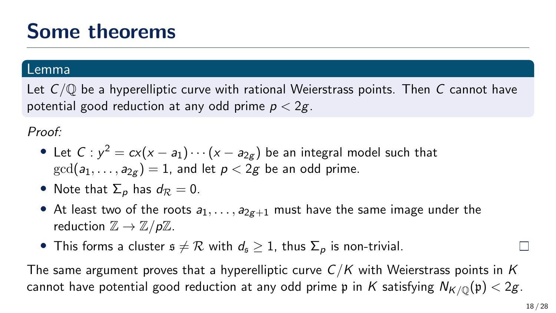#### Lemma

Let  $C/\mathbb{Q}$  be a hyperelliptic curve with rational Weierstrass points. Then C cannot have potential good reduction at any odd prime  $p < 2g$ .

Proof:

- Let  $C$  :  $y^2 = c x (x a_1) \cdots (x a_{2g})$  be an integral model such that  $gcd(a_1, \ldots, a_{2\sigma}) = 1$ , and let  $p < 2g$  be an odd prime.
- Note that  $\Sigma_p$  has  $d_{\mathcal{R}} = 0$ .
- At least two of the roots  $a_1, \ldots, a_{2g+1}$  must have the same image under the reduction  $\mathbb{Z} \to \mathbb{Z}/p\mathbb{Z}$ .
- This forms a cluster  $s \neq \mathcal{R}$  with  $d_s \geq 1$ , thus  $\Sigma_p$  is non-trivial.

The same argument proves that a hyperelliptic curve  $C/K$  with Weierstrass points in K cannot have potential good reduction at any odd prime p in K satisfying  $N_{K/\mathbb{Q}}(\mathfrak{p}) < 2g$ .

 $\Box$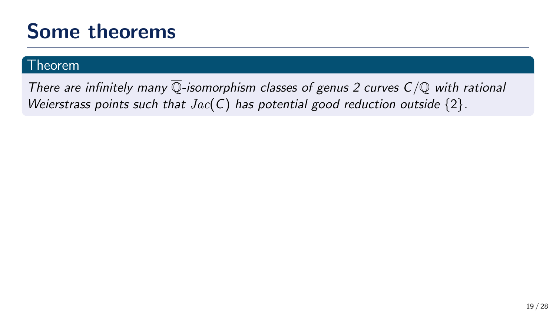#### Theorem

There are infinitely many  $\overline{\mathbb{Q}}$ -isomorphism classes of genus 2 curves  $C/\mathbb{Q}$  with rational Weierstrass points such that  $Jac(C)$  has potential good reduction outside  $\{2\}$ .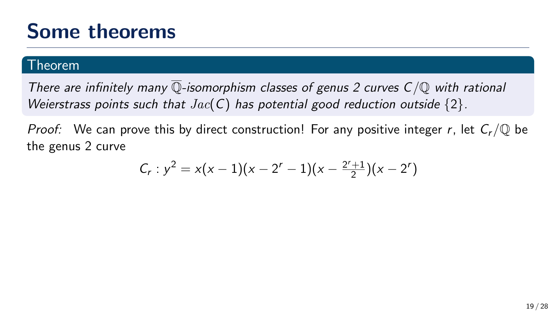#### $\overline{\text{Theorem}}$

There are infinitely many  $\overline{\mathbb{Q}}$ -isomorphism classes of genus 2 curves  $C/\mathbb{Q}$  with rational Weierstrass points such that  $Jac(C)$  has potential good reduction outside  $\{2\}$ .

*Proof:* We can prove this by direct construction! For any positive integer r, let  $C_r/\mathbb{Q}$  be the genus 2 curve

$$
C_r: y^2 = x(x-1)(x-2^r-1)(x-\frac{2^r+1}{2})(x-2^r)
$$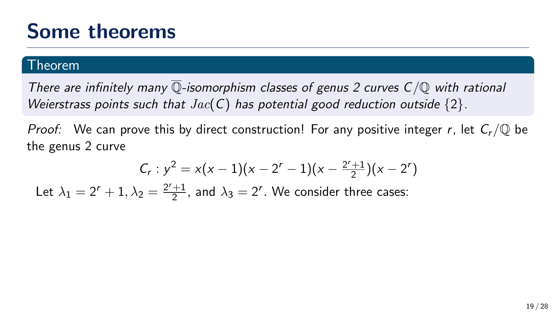#### Theorem

There are infinitely many  $\overline{\mathbb{Q}}$ -isomorphism classes of genus 2 curves  $C/\mathbb{Q}$  with rational Weierstrass points such that  $Jac(C)$  has potential good reduction outside  $\{2\}$ .

*Proof:* We can prove this by direct construction! For any positive integer r, let  $C_r/\mathbb{Q}$  be the genus 2 curve

$$
C_r: y^2 = x(x-1)(x-2^r-1)(x-\frac{2^r+1}{2})(x-2^r)
$$

Let  $\lambda_1 = 2^r + 1, \lambda_2 = \frac{2^r + 1}{2}$  $\frac{+1}{2}$ , and  $\lambda_3 = 2^r$ . We consider three cases: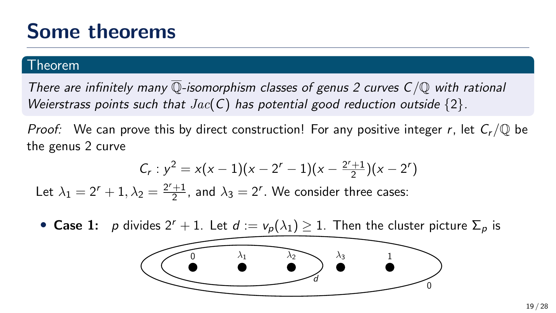#### Theorem

There are infinitely many  $\overline{\mathbb{Q}}$ -isomorphism classes of genus 2 curves  $C/\mathbb{Q}$  with rational Weierstrass points such that  $Jac(C)$  has potential good reduction outside  $\{2\}$ .

*Proof:* We can prove this by direct construction! For any positive integer r, let  $C_r/\mathbb{Q}$  be the genus 2 curve

$$
C_r: y^2 = x(x-1)(x-2^r-1)(x-\frac{2^r+1}{2})(x-2^r)
$$

Let  $\lambda_1 = 2^r + 1, \lambda_2 = \frac{2^r + 1}{2}$  $\frac{+1}{2}$ , and  $\lambda_3 = 2^r$ . We consider three cases:

• Case 1: p divides  $2^r + 1$ . Let  $d := v_p(\lambda_1) \ge 1$ . Then the cluster picture  $\Sigma_p$  is

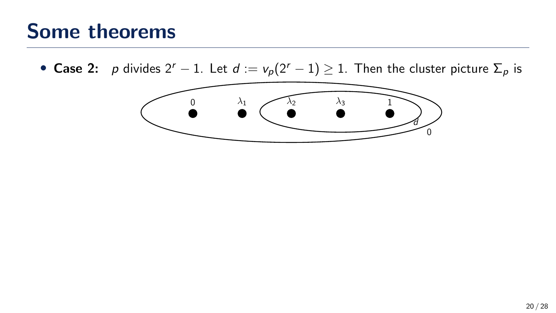• Case 2: p divides  $2^r - 1$ . Let  $d := v_p(2^r - 1) \ge 1$ . Then the cluster picture  $\Sigma_p$  is

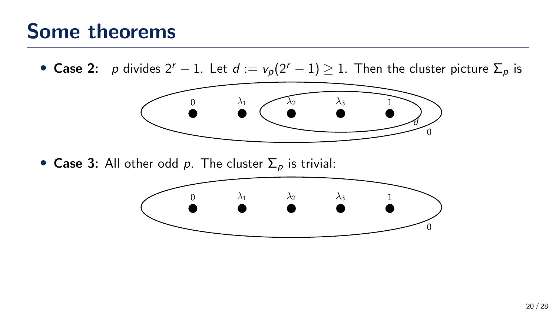### Some theorems

• Case 2: p divides  $2^r - 1$ . Let  $d := v_p(2^r - 1) \ge 1$ . Then the cluster picture  $\Sigma_p$  is



• Case 3: All other odd p. The cluster  $\Sigma_p$  is trivial:

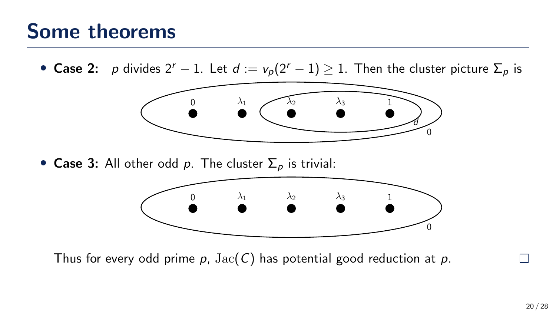### Some theorems

• Case 2: p divides  $2^r - 1$ . Let  $d := v_p(2^r - 1) \ge 1$ . Then the cluster picture  $\Sigma_p$  is



• Case 3: All other odd p. The cluster  $\Sigma_p$  is trivial:



Thus for every odd prime  $p$ ,  $Jac(C)$  has potential good reduction at p.

 $\Box$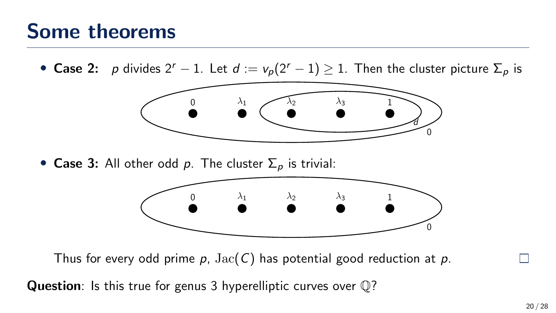### Some theorems

• Case 2: p divides  $2^r - 1$ . Let  $d := v_p(2^r - 1) \ge 1$ . Then the cluster picture  $\Sigma_p$  is



• Case 3: All other odd p. The cluster  $\Sigma_p$  is trivial:



Thus for every odd prime  $p$ ,  $Jac(C)$  has potential good reduction at p.

Question: Is this true for genus 3 hyperelliptic curves over  $\mathbb{Q}$ ?

П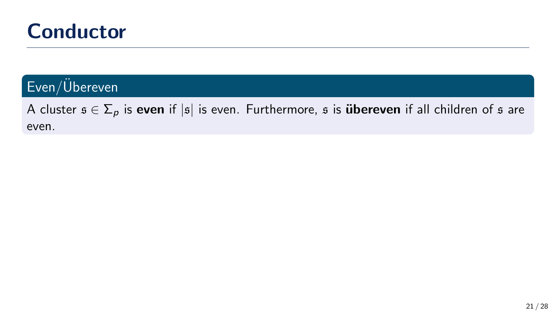### **Conductor**

### $Even/Ü$ bereven

A cluster  $s \in \Sigma_p$  is even if |s| is even. Furthermore, s is **übereven** if all children of s are even.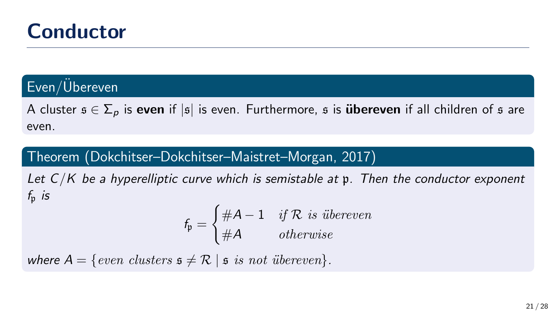### **Conductor**

### Even/Ubereven

A cluster  $s \in \Sigma_p$  is even if |s| is even. Furthermore, s is **übereven** if all children of s are even.

#### Theorem (Dokchitser–Dokchitser–Maistret–Morgan, 2017)

Let  $C/K$  be a hyperelliptic curve which is semistable at  $\mathfrak p$ . Then the conductor exponent  $f_n$  is

$$
f_{\mathfrak{p}} = \begin{cases} \#A - 1 & \text{if } R \text{ is } \text{üherence} \\ \#A & \text{otherwise} \end{cases}
$$

where  $A = \{even \ clusters \ s \neq \mathcal{R} \mid s \ is \ not \ übereven \}.$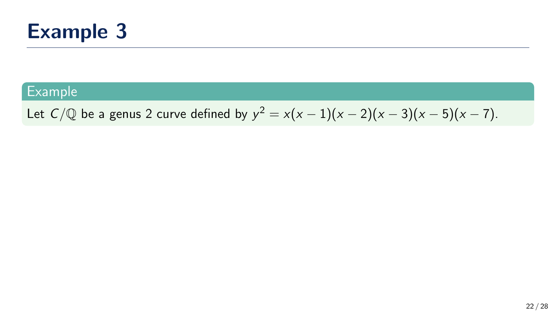

Let  $C/\mathbb{Q}$  be a genus 2 curve defined by  $y^2 = x(x-1)(x-2)(x-3)(x-5)(x-7)$ .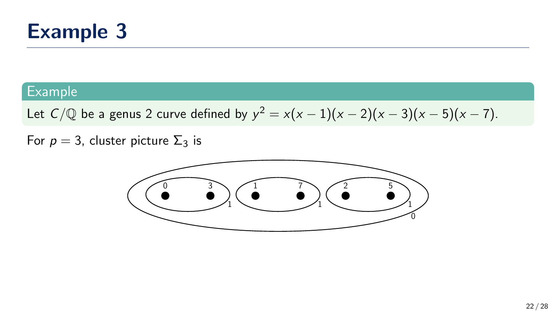

Let  $C/\mathbb{Q}$  be a genus 2 curve defined by  $y^2 = x(x-1)(x-2)(x-3)(x-5)(x-7)$ .

For  $p = 3$ , cluster picture  $\Sigma_3$  is

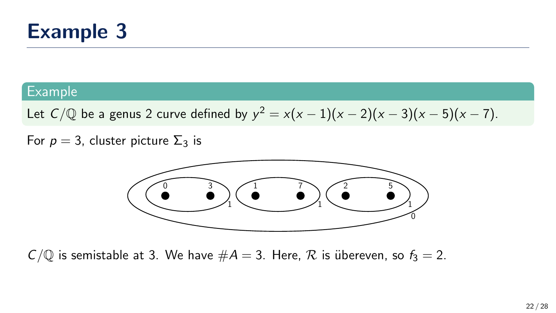

Let  $C/\mathbb{Q}$  be a genus 2 curve defined by  $y^2 = x(x-1)(x-2)(x-3)(x-5)(x-7)$ .

For  $p = 3$ , cluster picture  $\Sigma_3$  is



 $C/\mathbb{Q}$  is semistable at 3. We have  $\#A = 3$ . Here,  $\mathcal R$  is übereven, so  $f_3 = 2$ .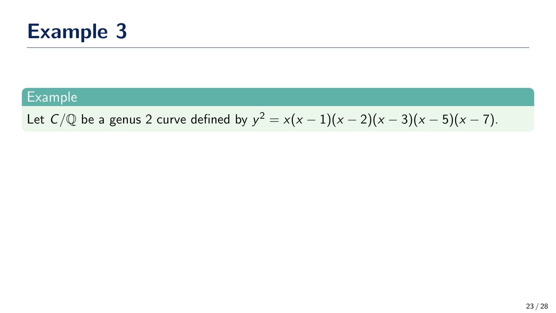

Let  $C/\mathbb{Q}$  be a genus 2 curve defined by  $y^2 = x(x-1)(x-2)(x-3)(x-5)(x-7)$ .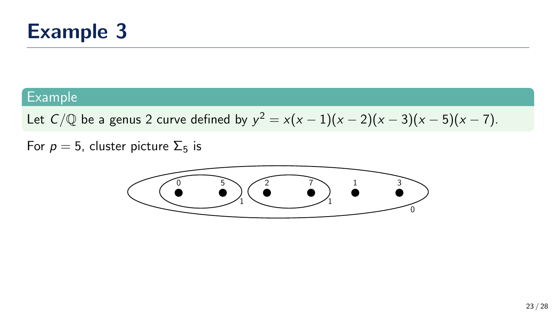

Let  $C/\mathbb{Q}$  be a genus 2 curve defined by  $y^2 = x(x-1)(x-2)(x-3)(x-5)(x-7)$ .

For  $p = 5$ , cluster picture  $\Sigma_5$  is

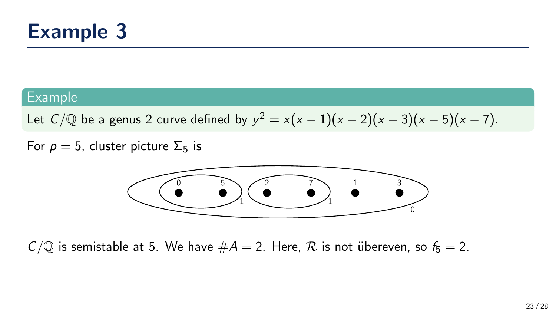

Let  $C/\mathbb{Q}$  be a genus 2 curve defined by  $y^2 = x(x-1)(x-2)(x-3)(x-5)(x-7)$ .

For  $p = 5$ , cluster picture  $\Sigma_5$  is



 $C/\mathbb{Q}$  is semistable at 5. We have  $\#A = 2$ . Here,  $\mathcal R$  is not übereven, so  $f_5 = 2$ .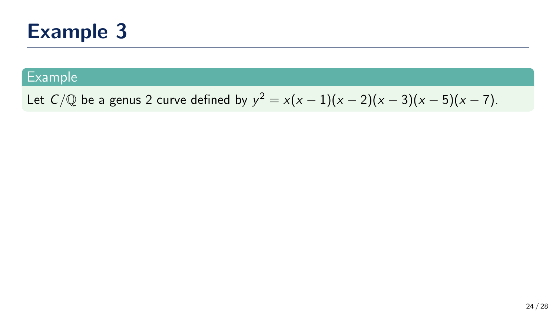#### Example

Let  $C/\mathbb{Q}$  be a genus 2 curve defined by  $y^2 = x(x-1)(x-2)(x-3)(x-5)(x-7)$ .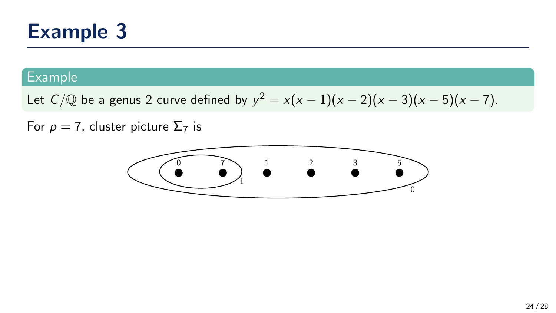#### Example

Let  $C/\mathbb{Q}$  be a genus 2 curve defined by  $y^2 = x(x-1)(x-2)(x-3)(x-5)(x-7)$ .

For  $p = 7$ , cluster picture  $\Sigma_7$  is

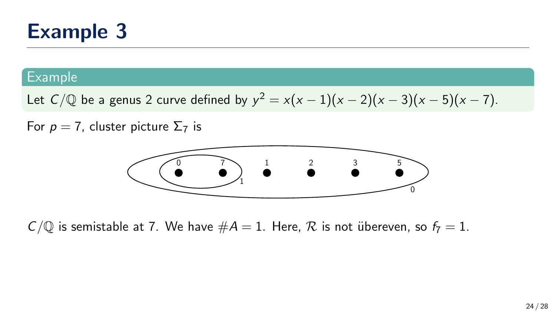#### Example

Let  $C/\mathbb{Q}$  be a genus 2 curve defined by  $y^2 = x(x-1)(x-2)(x-3)(x-5)(x-7)$ .

For  $p = 7$ , cluster picture  $\Sigma_7$  is



 $C/\mathbb{Q}$  is semistable at 7. We have  $\#A = 1$ . Here,  $\mathcal R$  is not übereven, so  $f_7 = 1$ .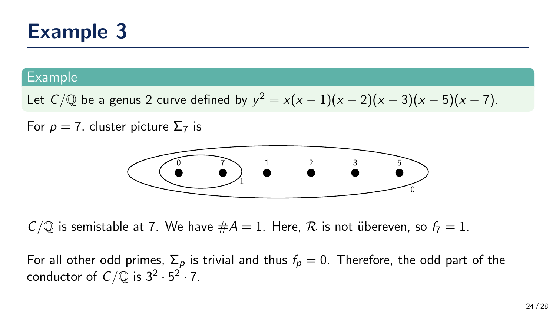#### Example

Let  $C/\mathbb{Q}$  be a genus 2 curve defined by  $y^2 = x(x-1)(x-2)(x-3)(x-5)(x-7)$ .

For  $p = 7$ , cluster picture  $\Sigma_7$  is



 $C/\mathbb{Q}$  is semistable at 7. We have  $\#A = 1$ . Here,  $\mathcal R$  is not übereven, so  $f_7 = 1$ .

For all other odd primes,  $\Sigma_p$  is trivial and thus  $f_p = 0$ . Therefore, the odd part of the conductor of  $C/{\mathbb Q}$  is  $3^2\cdot 5^2\cdot 7$ .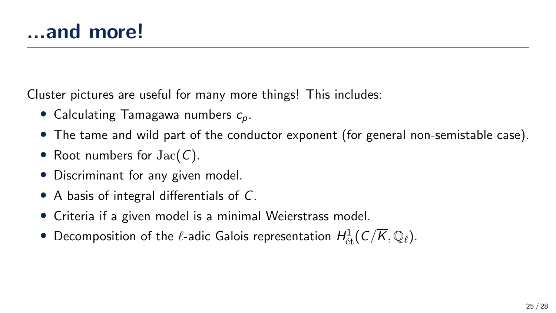Cluster pictures are useful for many more things! This includes:

- Calculating Tamagawa numbers  $c_n$ .
- The tame and wild part of the conductor exponent (for general non-semistable case).
- Root numbers for  $Jac(C)$ .
- Discriminant for any given model.
- A basis of integral differentials of C.
- Criteria if a given model is a minimal Weierstrass model.
- $\bullet$  Decomposition of the  $\ell$ -adic Galois representation  $H^1_{\mathrm{\acute{e}t}}(\mathcal{C}/\overline{K},\mathbb{Q}_\ell).$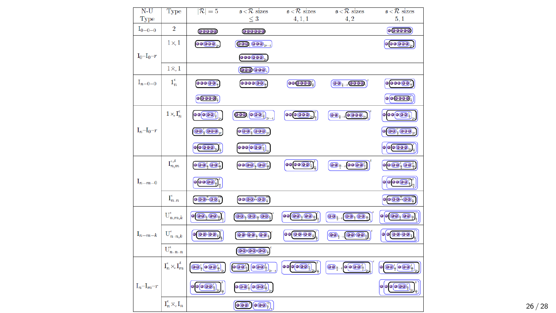| $N-U$                | Type                                 | $ \mathcal{R} =5$                                                                                        | $s < \mathcal{R}$ sizes                                                                                                                                                                                                                                                                                                                                                                                                                                                                                                                                                                                                                                                | $s < \mathcal{R}$ sizes                                                  | $s < \mathcal{R}$ sizes                                                                                | $s < \mathcal{R}$ sizes                                     |
|----------------------|--------------------------------------|----------------------------------------------------------------------------------------------------------|------------------------------------------------------------------------------------------------------------------------------------------------------------------------------------------------------------------------------------------------------------------------------------------------------------------------------------------------------------------------------------------------------------------------------------------------------------------------------------------------------------------------------------------------------------------------------------------------------------------------------------------------------------------------|--------------------------------------------------------------------------|--------------------------------------------------------------------------------------------------------|-------------------------------------------------------------|
| Type                 |                                      |                                                                                                          | $\leq 3$                                                                                                                                                                                                                                                                                                                                                                                                                                                                                                                                                                                                                                                               | 4, 1, 1                                                                  | 4, 2                                                                                                   | 5,1                                                         |
| $I_{0-0-0}$          | $\overline{2}$                       | 00000                                                                                                    | 000000                                                                                                                                                                                                                                                                                                                                                                                                                                                                                                                                                                                                                                                                 |                                                                          |                                                                                                        | 000000                                                      |
|                      | $1\times 1$                          | 00000.                                                                                                   | $(000, 000)_{t=1}$                                                                                                                                                                                                                                                                                                                                                                                                                                                                                                                                                                                                                                                     |                                                                          |                                                                                                        | $\bullet \bullet \bullet \bullet \bullet \bullet$           |
| $I_0-I_0-r$          |                                      |                                                                                                          | $\bullet\bullet\bullet\bullet\bullet\bullet$                                                                                                                                                                                                                                                                                                                                                                                                                                                                                                                                                                                                                           |                                                                          |                                                                                                        |                                                             |
|                      | $1 \times 1$                         |                                                                                                          | 000 000,                                                                                                                                                                                                                                                                                                                                                                                                                                                                                                                                                                                                                                                               |                                                                          |                                                                                                        |                                                             |
| $I_{n-0-0}$          | $1_n^{\epsilon}$                     | 00000                                                                                                    | 00000001                                                                                                                                                                                                                                                                                                                                                                                                                                                                                                                                                                                                                                                               | 000000                                                                   | $\overline{(00)}_{1-i}$ $\overline{(0000)}$                                                            | 000000                                                      |
|                      |                                      | 00000                                                                                                    |                                                                                                                                                                                                                                                                                                                                                                                                                                                                                                                                                                                                                                                                        |                                                                          |                                                                                                        |                                                             |
|                      | $1 \times I_n^{\epsilon}$            | $\bullet \bullet \bullet \bullet \bullet \bullet$                                                        | $\overline{\text{OO}}_i$ $\overline{\text{OO}}_4$                                                                                                                                                                                                                                                                                                                                                                                                                                                                                                                                                                                                                      | $\bullet$ $\bullet$ $\bullet$ $\bullet$ $\bullet$ <sub>2</sub> $\bullet$ | $\overline{\text{OO}_{4}}$ , $\overline{\text{O O OO}_{2r}}$                                           | 000000                                                      |
| $I_n-I_0-r$          |                                      | 00, 000,                                                                                                 | $\overline{\text{O}(\text{O})}$ $\overline{\text{O}(\text{O})}$                                                                                                                                                                                                                                                                                                                                                                                                                                                                                                                                                                                                        |                                                                          |                                                                                                        |                                                             |
|                      |                                      | o(o <sub>OO</sub> )                                                                                      | 000000                                                                                                                                                                                                                                                                                                                                                                                                                                                                                                                                                                                                                                                                 |                                                                          |                                                                                                        | $o$ $o$ $o$ $o$ $o$ $o$                                     |
|                      | $\mathrm{I}_{n,m}^{\epsilon,\delta}$ | $\bullet$ $\bullet$ $\bullet$ $\bullet$ $\bullet$ $\bullet$                                              | 0000,000,                                                                                                                                                                                                                                                                                                                                                                                                                                                                                                                                                                                                                                                              | $\bullet \bullet \bullet \bullet \bullet \bullet$                        | $\overline{\text{O}_\frac{n}{2}}$ , $\overline{\text{O}_\frac{n}{2}}$                                  | $\circ \circ \bullet$ ; $\circ \bullet$ ;                   |
| $I_{n-m-0}$          |                                      | $\boxed{\circ\left(\bullet\circ\left(\bullet\right)\right)}$                                             |                                                                                                                                                                                                                                                                                                                                                                                                                                                                                                                                                                                                                                                                        |                                                                          |                                                                                                        | $\circ \circ \circ \circ \circ '$                           |
|                      | $I_{n,n}^{\epsilon}$                 | $\bullet$ $\bullet$ $\bullet$ $\bullet$ $\bullet$ $\bullet$                                              | 00(00)(00)                                                                                                                                                                                                                                                                                                                                                                                                                                                                                                                                                                                                                                                             |                                                                          |                                                                                                        | $\bullet$ $\bullet$ $\bullet$ $\bullet$ $\bullet$ $\bullet$ |
|                      | $U_{n,m,k}^{\epsilon}$               | $\overline{\bullet}$ $\overline{\bullet}$ $\overline{\bullet}$ $\overline{\bullet}$ $\overline{\bullet}$ | (00, 00, 00)                                                                                                                                                                                                                                                                                                                                                                                                                                                                                                                                                                                                                                                           | $\bullet \bullet \circ \bullet \bullet \bullet \bullet$                  | $_{1}$ $\overline{\odot}$ $_{2}$ $\overline{\odot}$ $_{3}$<br>$\overline{\mathbf{O}}_k$                | $\circ \circ \circ \circ \circ \circ \circ$                 |
| $\mathrm{I}_{n-m-k}$ | $\mathbf{U}_{n-n,k}^{\epsilon}$      | 00000                                                                                                    | $(00)(00)$ <sub>+</sub> $(00)$                                                                                                                                                                                                                                                                                                                                                                                                                                                                                                                                                                                                                                         | 00 00 00;                                                                | $(00)$ <sub>1</sub> , $(00)(00)$                                                                       |                                                             |
|                      | $\mathbf{U}_{n-n-n}^{\epsilon}$      |                                                                                                          | 000000                                                                                                                                                                                                                                                                                                                                                                                                                                                                                                                                                                                                                                                                 |                                                                          |                                                                                                        |                                                             |
|                      | $I_n^{\epsilon}\times I_m^{\delta}$  | $\overline{\text{OO}_4^4}$ $\overline{\text{OO}_4^4}$                                                    | $\boxed{\bullet\textcircled{}}\overset{\bullet}{\bullet}\textcircled{}}\overset{\bullet}{\bullet}\textcircled{}}\overset{\bullet}{\bullet}\textcircled{}}\overset{\bullet}{\bullet}\textcircled{}}\overset{\bullet}{\bullet}\textcircled{}}\overset{\bullet}{\bullet}\textcircled{}}\overset{\bullet}{\bullet}\textcircled{}}\overset{\bullet}{\bullet}\textcircled{}}\overset{\bullet}{\bullet}\textcircled{}}\overset{\bullet}{\bullet}\textcircled{}}\overset{\bullet}{\bullet}\textcircled{}}\overset{\bullet}{\bullet}\textcircled{}}\overset{\bullet}{\bullet}\textcircled{}}\overset{\bullet}{\bullet}\textcircled{}}\overset{\bullet}{\bullet}\textcircled{}}$ | $\bullet \bullet \bullet \circ \bullet$                                  | $\overline{\mathbf{O}}_{\frac{1}{2}-t}\overline{\mathbf{O}}\overline{\mathbf{O}}\overline{\mathbf{O}}$ | $\circ$ $\circ$ $\circ$ $\circ$ $\circ$ $\circ$             |
| $I_n-I_m-r$          |                                      | $\circ \circ \circ \circ$ ;                                                                              | $\bullet$ $\bullet$ $\bullet$ $\bullet$ $\bullet$ $\bullet$ $\bullet$                                                                                                                                                                                                                                                                                                                                                                                                                                                                                                                                                                                                  |                                                                          |                                                                                                        | $\circ$ $\circ$ $\circ$ $\circ$ $\circ$ $\circ$ $\circ$     |
|                      | $I_n^{\epsilon} \tilde{\times} I_n$  |                                                                                                          | $\overline{\text{000}}$ $\overline{\text{000}}$                                                                                                                                                                                                                                                                                                                                                                                                                                                                                                                                                                                                                        |                                                                          |                                                                                                        |                                                             |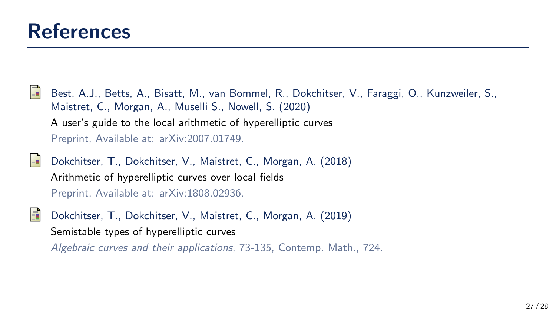

- Best, A.J., Betts, A., Bisatt, M., van Bommel, R., Dokchitser, V., Faraggi, O., Kunzweiler, S., Maistret, C., Morgan, A., Muselli S., Nowell, S. (2020) A user's guide to the local arithmetic of hyperelliptic curves Preprint, Available at: arXiv:2007.01749.
- Dokchitser, T., Dokchitser, V., Maistret, C., Morgan, A. (2018) Arithmetic of hyperelliptic curves over local fields Preprint, Available at: arXiv:1808.02936.
	- Dokchitser, T., Dokchitser, V., Maistret, C., Morgan, A. (2019) Semistable types of hyperelliptic curves
		- Algebraic curves and their applications, 73-135, Contemp. Math., 724.